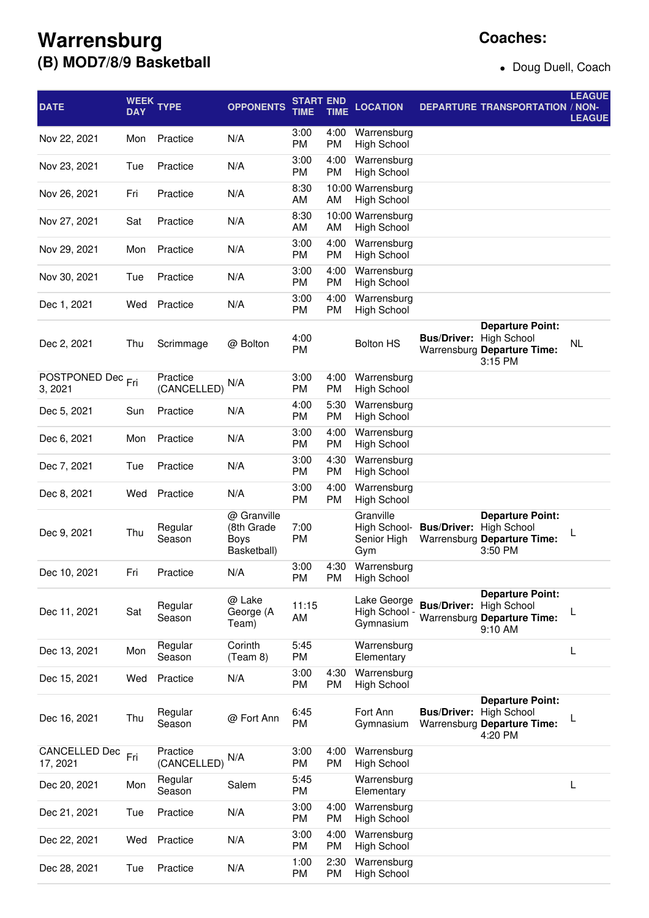## **Warrensburg (B) MOD7/8/9 Basketball**

Doug Duell, Coach

| <b>DATE</b>                             | <b>WEEK</b><br><b>DAY</b> | <b>TYPE</b>             | <b>OPPONENTS</b>                                 | START END<br>TIME | <b>TIME</b> | <b>LOCATION</b>                                 |                                | <b>DEPARTURE TRANSPORTATION / NON-</b>                                                  | <b>LEAGUE</b><br><b>LEAGUE</b> |
|-----------------------------------------|---------------------------|-------------------------|--------------------------------------------------|-------------------|-------------|-------------------------------------------------|--------------------------------|-----------------------------------------------------------------------------------------|--------------------------------|
| Nov 22, 2021                            | Mon                       | Practice                | N/A                                              | 3:00<br>PM        | 4:00<br>PM  | Warrensburg<br><b>High School</b>               |                                |                                                                                         |                                |
| Nov 23, 2021                            | Tue                       | Practice                | N/A                                              | 3:00<br>PM        | 4:00<br>PM  | Warrensburg<br><b>High School</b>               |                                |                                                                                         |                                |
| Nov 26, 2021                            | Fri                       | Practice                | N/A                                              | 8:30<br>AM        | AM          | 10:00 Warrensburg<br><b>High School</b>         |                                |                                                                                         |                                |
| Nov 27, 2021                            | Sat                       | Practice                | N/A                                              | 8:30<br>AM        | AM          | 10:00 Warrensburg<br><b>High School</b>         |                                |                                                                                         |                                |
| Nov 29, 2021                            | Mon                       | Practice                | N/A                                              | 3:00<br>PM        | 4:00<br>PM  | Warrensburg<br><b>High School</b>               |                                |                                                                                         |                                |
| Nov 30, 2021                            | Tue                       | Practice                | N/A                                              | 3:00<br>PM        | 4:00<br>PM  | Warrensburg<br><b>High School</b>               |                                |                                                                                         |                                |
| Dec 1, 2021                             | Wed                       | Practice                | N/A                                              | 3:00<br>PM        | 4:00<br>PM  | Warrensburg<br><b>High School</b>               |                                |                                                                                         |                                |
| Dec 2, 2021                             | Thu                       | Scrimmage               | @ Bolton                                         | 4:00<br><b>PM</b> |             | <b>Bolton HS</b>                                | <b>Bus/Driver: High School</b> | <b>Departure Point:</b><br>Warrensburg Departure Time:<br>3:15 PM                       | NL                             |
| POSTPONED Dec <sub>Fri</sub><br>3, 2021 |                           | Practice<br>(CANCELLED) | N/A                                              | 3:00<br>PM        | 4:00<br>PM  | Warrensburg<br><b>High School</b>               |                                |                                                                                         |                                |
| Dec 5, 2021                             | Sun                       | Practice                | N/A                                              | 4:00<br>PM        | 5:30<br>PM  | Warrensburg<br><b>High School</b>               |                                |                                                                                         |                                |
| Dec 6, 2021                             | Mon                       | Practice                | N/A                                              | 3:00<br>PM        | 4:00<br>PM  | Warrensburg<br><b>High School</b>               |                                |                                                                                         |                                |
| Dec 7, 2021                             | Tue                       | Practice                | N/A                                              | 3:00<br>PM        | 4:30<br>PM  | Warrensburg<br><b>High School</b>               |                                |                                                                                         |                                |
| Dec 8, 2021                             | Wed                       | Practice                | N/A                                              | 3:00<br>PM        | 4:00<br>PM  | Warrensburg<br><b>High School</b>               |                                |                                                                                         |                                |
| Dec 9, 2021                             | Thu                       | Regular<br>Season       | @ Granville<br>(8th Grade<br>Boys<br>Basketball) | 7:00<br><b>PM</b> |             | Granville<br>High School-<br>Senior High<br>Gym | <b>Bus/Driver:</b>             | <b>Departure Point:</b><br><b>High School</b><br>Warrensburg Departure Time:<br>3:50 PM |                                |
| Dec 10, 2021                            | Fri                       | Practice                | N/A                                              | 3:00<br><b>PM</b> | 4:30<br>PM  | Warrensburg<br><b>High School</b>               |                                |                                                                                         |                                |
| Dec 11, 2021                            | Sat                       | Regular<br>Season       | @ Lake<br>George (A<br>Team)                     | 11:15<br>AM       |             | Lake George<br>High School -<br>Gymnasium       | <b>Bus/Driver: High School</b> | <b>Departure Point:</b><br>Warrensburg Departure Time:<br>9:10 AM                       |                                |
| Dec 13, 2021                            | Mon                       | Regular<br>Season       | Corinth<br>(Team 8)                              | 5:45<br>PM        |             | Warrensburg<br>Elementary                       |                                |                                                                                         | L                              |
| Dec 15, 2021                            | Wed                       | Practice                | N/A                                              | 3:00<br>РM        | 4:30<br>PM  | Warrensburg<br><b>High School</b>               |                                |                                                                                         |                                |
| Dec 16, 2021                            | Thu                       | Regular<br>Season       | @ Fort Ann                                       | 6:45<br><b>PM</b> |             | Fort Ann<br>Gymnasium                           | <b>Bus/Driver: High School</b> | <b>Departure Point:</b><br>Warrensburg Departure Time:<br>4:20 PM                       |                                |
| CANCELLED Dec<br>17, 2021               | Fri                       | Practice<br>(CANCELLED) | N/A                                              | 3:00<br>PM        | 4:00<br>PM  | Warrensburg<br><b>High School</b>               |                                |                                                                                         |                                |
| Dec 20, 2021                            | Mon                       | Regular<br>Season       | Salem                                            | 5:45<br>PM        |             | Warrensburg<br>Elementary                       |                                |                                                                                         | L                              |
| Dec 21, 2021                            | Tue                       | Practice                | N/A                                              | 3:00<br>PM        | 4:00<br>РM  | Warrensburg<br><b>High School</b>               |                                |                                                                                         |                                |
| Dec 22, 2021                            | Wed                       | Practice                | N/A                                              | 3:00<br>PM        | 4:00<br>PM  | Warrensburg<br><b>High School</b>               |                                |                                                                                         |                                |
| Dec 28, 2021                            | Tue                       | Practice                | N/A                                              | 1:00<br><b>PM</b> | 2:30<br>PM  | Warrensburg<br><b>High School</b>               |                                |                                                                                         |                                |